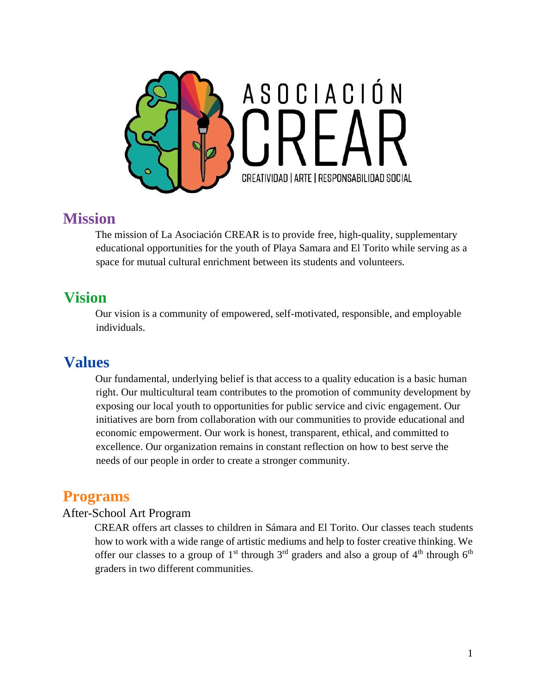

### **Mission**

The mission of La Asociación CREAR is to provide free, high-quality, supplementary educational opportunities for the youth of Playa Samara and El Torito while serving as a space for mutual cultural enrichment between its students and volunteers.

### **Vision**

Our vision is a community of empowered, self-motivated, responsible, and employable individuals.

### **Values**

Our fundamental, underlying belief is that access to a quality education is a basic human right. Our multicultural team contributes to the promotion of community development by exposing our local youth to opportunities for public service and civic engagement. Our initiatives are born from collaboration with our communities to provide educational and economic empowerment. Our work is honest, transparent, ethical, and committed to excellence. Our organization remains in constant reflection on how to best serve the needs of our people in order to create a stronger community.

### **Programs**

#### After-School Art Program

CREAR offers art classes to children in Sámara and El Torito. Our classes teach students how to work with a wide range of artistic mediums and help to foster creative thinking. We offer our classes to a group of 1<sup>st</sup> through  $3<sup>rd</sup>$  graders and also a group of 4<sup>th</sup> through 6<sup>th</sup> graders in two different communities.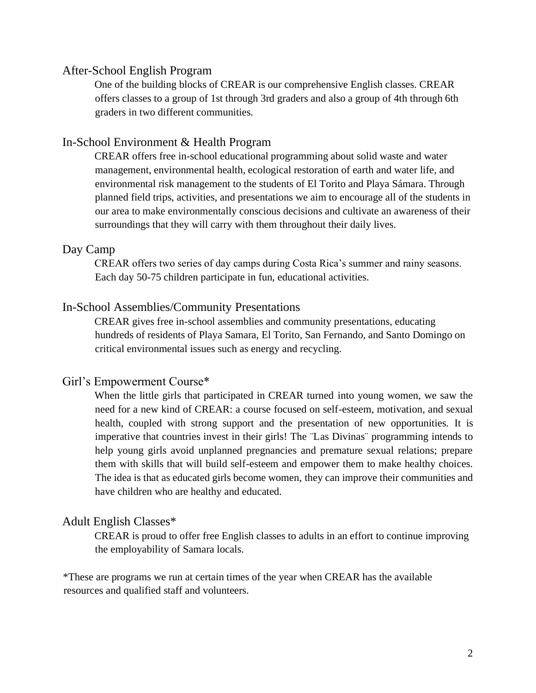#### After-School English Program

One of the building blocks of CREAR is our comprehensive English classes. CREAR offers classes to a group of 1st through 3rd graders and also a group of 4th through 6th graders in two different communities.

#### In-School Environment & Health Program

CREAR offers free in-school educational programming about solid waste and water management, environmental health, ecological restoration of earth and water life, and environmental risk management to the students of El Torito and Playa Sámara. Through planned field trips, activities, and presentations we aim to encourage all of the students in our area to make environmentally conscious decisions and cultivate an awareness of their surroundings that they will carry with them throughout their daily lives.

#### Day Camp

CREAR offers two series of day camps during Costa Rica's summer and rainy seasons. Each day 50-75 children participate in fun, educational activities.

#### In-School Assemblies/Community Presentations

CREAR gives free in-school assemblies and community presentations, educating hundreds of residents of Playa Samara, El Torito, San Fernando, and Santo Domingo on critical environmental issues such as energy and recycling.

#### Girl's Empowerment Course\*

When the little girls that participated in CREAR turned into young women, we saw the need for a new kind of CREAR: a course focused on self-esteem, motivation, and sexual health, coupled with strong support and the presentation of new opportunities. It is imperative that countries invest in their girls! The ¨Las Divinas¨ programming intends to help young girls avoid unplanned pregnancies and premature sexual relations; prepare them with skills that will build self-esteem and empower them to make healthy choices. The idea is that as educated girls become women, they can improve their communities and have children who are healthy and educated.

#### Adult English Classes\*

CREAR is proud to offer free English classes to adults in an effort to continue improving the employability of Samara locals.

\*These are programs we run at certain times of the year when CREAR has the available resources and qualified staff and volunteers.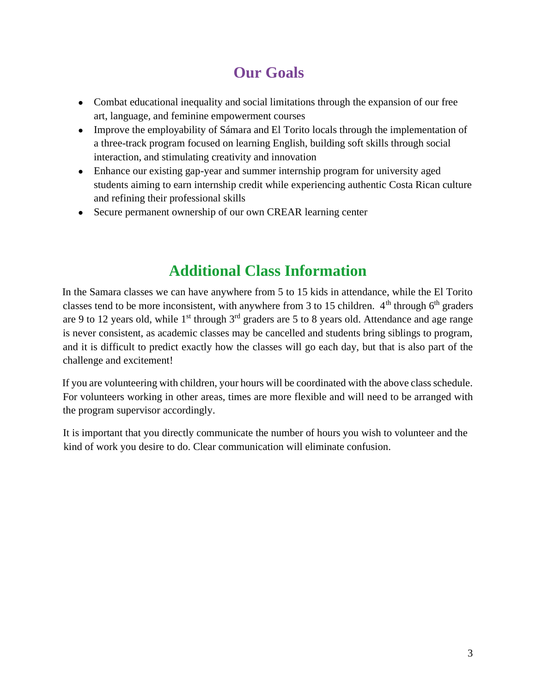# **Our Goals**

- Combat educational inequality and social limitations through the expansion of our free art, language, and feminine empowerment courses
- Improve the employability of Sámara and El Torito locals through the implementation of a three-track program focused on learning English, building soft skills through social interaction, and stimulating creativity and innovation
- Enhance our existing gap-year and summer internship program for university aged students aiming to earn internship credit while experiencing authentic Costa Rican culture and refining their professional skills
- Secure permanent ownership of our own CREAR learning center

## **Additional Class Information**

In the Samara classes we can have anywhere from 5 to 15 kids in attendance, while the El Torito classes tend to be more inconsistent, with anywhere from 3 to 15 children.  $4<sup>th</sup>$  through 6<sup>th</sup> graders are 9 to 12 years old, while  $1<sup>st</sup>$  through  $3<sup>rd</sup>$  graders are 5 to 8 years old. Attendance and age range is never consistent, as academic classes may be cancelled and students bring siblings to program, and it is difficult to predict exactly how the classes will go each day, but that is also part of the challenge and excitement!

If you are volunteering with children, your hours will be coordinated with the above class schedule. For volunteers working in other areas, times are more flexible and will need to be arranged with the program supervisor accordingly.

It is important that you directly communicate the number of hours you wish to volunteer and the kind of work you desire to do. Clear communication will eliminate confusion.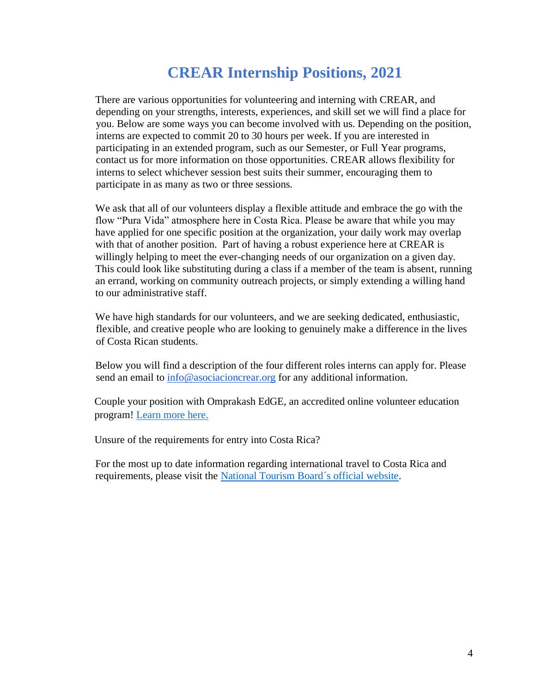## **CREAR Internship Positions, 2021**

There are various opportunities for volunteering and interning with CREAR, and depending on your strengths, interests, experiences, and skill set we will find a place for you. Below are some ways you can become involved with us. Depending on the position, interns are expected to commit 20 to 30 hours per week. If you are interested in participating in an extended program, such as our Semester, or Full Year programs, contact us for more information on those opportunities. CREAR allows flexibility for interns to select whichever session best suits their summer, encouraging them to participate in as many as two or three sessions.

We ask that all of our volunteers display a flexible attitude and embrace the go with the flow "Pura Vida" atmosphere here in Costa Rica. Please be aware that while you may have applied for one specific position at the organization, your daily work may overlap with that of another position. Part of having a robust experience here at CREAR is willingly helping to meet the ever-changing needs of our organization on a given day. This could look like substituting during a class if a member of the team is absent, running an errand, working on community outreach projects, or simply extending a willing hand to our administrative staff.

We have high standards for our volunteers, and we are seeking dedicated, enthusiastic, flexible, and creative people who are looking to genuinely make a difference in the lives of Costa Rican students.

Below you will find a description of the four different roles interns can apply for. Please send an email to [info@asociacioncrear.org](mailto:info@asociacioncrear.org) for any additional information.

Couple your position with Omprakash EdGE, an accredited online volunteer education program! [Learn more here.](http://www.omprakash.org/edge)

Unsure of the requirements for entry into Costa Rica?

For the most up to date information regarding international travel to Costa Rica and requirements, please visit the [National Tourism Board´s official website.](https://www.visitcostarica.com/en/costa-rica/statement-costa-rica-tourism-board-covid-19)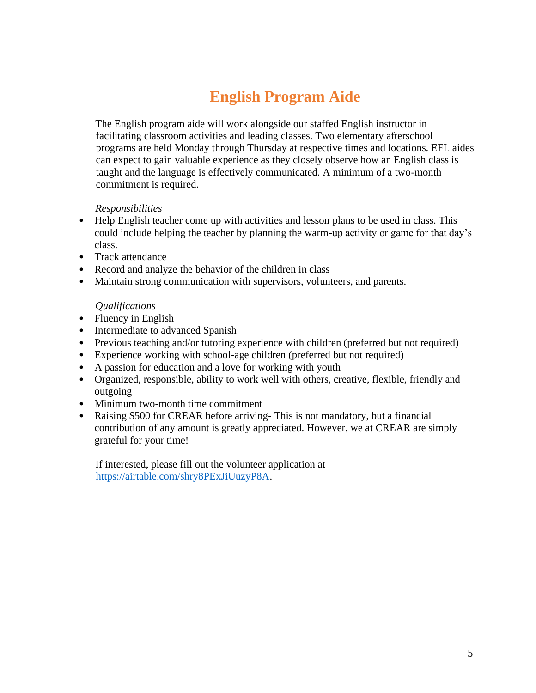# **English Program Aide**

The English program aide will work alongside our staffed English instructor in facilitating classroom activities and leading classes. Two elementary afterschool programs are held Monday through Thursday at respective times and locations. EFL aides can expect to gain valuable experience as they closely observe how an English class is taught and the language is effectively communicated. A minimum of a two-month commitment is required.

#### *Responsibilities*

- Help English teacher come up with activities and lesson plans to be used in class. This could include helping the teacher by planning the warm-up activity or game for that day's class.
- Track attendance
- Record and analyze the behavior of the children in class
- Maintain strong communication with supervisors, volunteers, and parents.

#### *Qualifications*

- Fluency in English
- Intermediate to advanced Spanish
- Previous teaching and/or tutoring experience with children (preferred but not required)
- Experience working with school-age children (preferred but not required)
- A passion for education and a love for working with youth
- Organized, responsible, ability to work well with others, creative, flexible, friendly and outgoing
- Minimum two-month time commitment
- Raising \$500 for CREAR before arriving-This is not mandatory, but a financial contribution of any amount is greatly appreciated. However, we at CREAR are simply grateful for your time!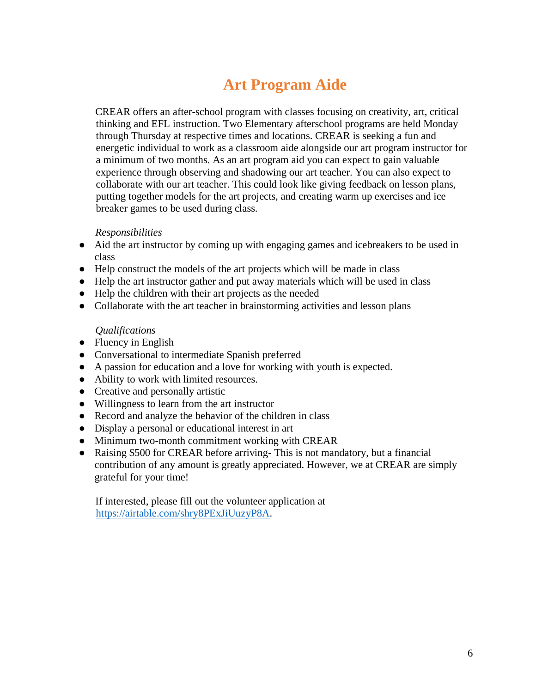# **Art Program Aide**

CREAR offers an after-school program with classes focusing on creativity, art, critical thinking and EFL instruction. Two Elementary afterschool programs are held Monday through Thursday at respective times and locations. CREAR is seeking a fun and energetic individual to work as a classroom aide alongside our art program instructor for a minimum of two months. As an art program aid you can expect to gain valuable experience through observing and shadowing our art teacher. You can also expect to collaborate with our art teacher. This could look like giving feedback on lesson plans, putting together models for the art projects, and creating warm up exercises and ice breaker games to be used during class.

#### *Responsibilities*

- Aid the art instructor by coming up with engaging games and icebreakers to be used in class
- Help construct the models of the art projects which will be made in class
- Help the art instructor gather and put away materials which will be used in class
- Help the children with their art projects as the needed
- Collaborate with the art teacher in brainstorming activities and lesson plans

#### *Qualifications*

- Fluency in English
- Conversational to intermediate Spanish preferred
- A passion for education and a love for working with youth is expected.
- Ability to work with limited resources.
- Creative and personally artistic
- Willingness to learn from the art instructor
- Record and analyze the behavior of the children in class
- Display a personal or educational interest in art
- Minimum two-month commitment working with CREAR
- Raising \$500 for CREAR before arriving- This is not mandatory, but a financial contribution of any amount is greatly appreciated. However, we at CREAR are simply grateful for your time!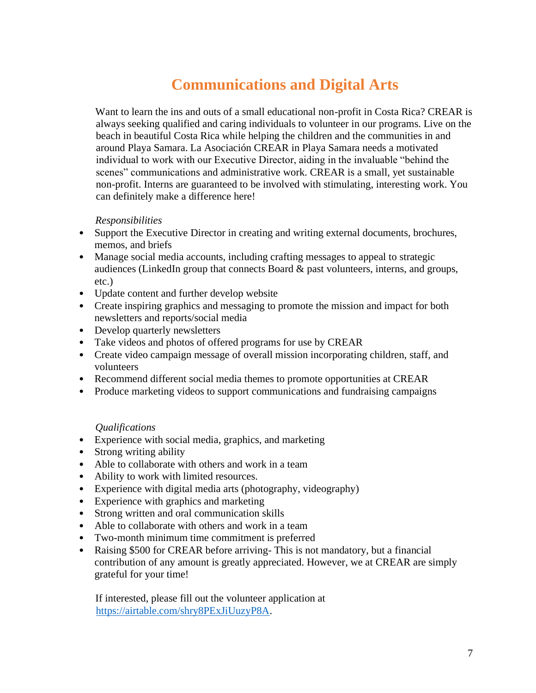# **Communications and Digital Arts**

Want to learn the ins and outs of a small educational non-profit in Costa Rica? CREAR is always seeking qualified and caring individuals to volunteer in our programs. Live on the beach in beautiful Costa Rica while helping the children and the communities in and around Playa Samara. La Asociación CREAR in Playa Samara needs a motivated individual to work with our Executive Director, aiding in the invaluable "behind the scenes" communications and administrative work. CREAR is a small, yet sustainable non-profit. Interns are guaranteed to be involved with stimulating, interesting work. You can definitely make a difference here!

#### *Responsibilities*

- Support the Executive Director in creating and writing external documents, brochures, memos, and briefs
- Manage social media accounts, including crafting messages to appeal to strategic audiences (LinkedIn group that connects Board & past volunteers, interns, and groups, etc.)
- Update content and further develop website
- Create inspiring graphics and messaging to promote the mission and impact for both newsletters and reports/social media
- Develop quarterly newsletters
- Take videos and photos of offered programs for use by CREAR
- Create video campaign message of overall mission incorporating children, staff, and volunteers
- Recommend different social media themes to promote opportunities at CREAR
- Produce marketing videos to support communications and fundraising campaigns

#### *Qualifications*

- Experience with social media, graphics, and marketing
- Strong writing ability
- Able to collaborate with others and work in a team
- Ability to work with limited resources.
- Experience with digital media arts (photography, videography)
- Experience with graphics and marketing
- Strong written and oral communication skills
- Able to collaborate with others and work in a team
- Two-month minimum time commitment is preferred
- Raising \$500 for CREAR before arriving-This is not mandatory, but a financial contribution of any amount is greatly appreciated. However, we at CREAR are simply grateful for your time!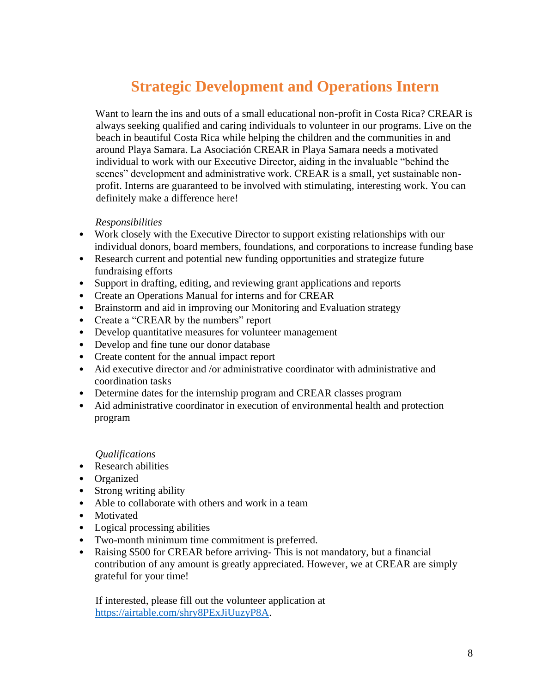# **Strategic Development and Operations Intern**

Want to learn the ins and outs of a small educational non-profit in Costa Rica? CREAR is always seeking qualified and caring individuals to volunteer in our programs. Live on the beach in beautiful Costa Rica while helping the children and the communities in and around Playa Samara. La Asociación CREAR in Playa Samara needs a motivated individual to work with our Executive Director, aiding in the invaluable "behind the scenes" development and administrative work. CREAR is a small, yet sustainable nonprofit. Interns are guaranteed to be involved with stimulating, interesting work. You can definitely make a difference here!

#### *Responsibilities*

- Work closely with the Executive Director to support existing relationships with our individual donors, board members, foundations, and corporations to increase funding base
- Research current and potential new funding opportunities and strategize future fundraising efforts
- Support in drafting, editing, and reviewing grant applications and reports
- Create an Operations Manual for interns and for CREAR
- Brainstorm and aid in improving our Monitoring and Evaluation strategy
- Create a "CREAR by the numbers" report
- Develop quantitative measures for volunteer management
- Develop and fine tune our donor database
- Create content for the annual impact report
- Aid executive director and /or administrative coordinator with administrative and coordination tasks
- Determine dates for the internship program and CREAR classes program
- Aid administrative coordinator in execution of environmental health and protection program

#### *Qualifications*

- Research abilities
- Organized
- Strong writing ability
- Able to collaborate with others and work in a team
- Motivated
- Logical processing abilities
- Two-month minimum time commitment is preferred.
- Raising \$500 for CREAR before arriving-This is not mandatory, but a financial contribution of any amount is greatly appreciated. However, we at CREAR are simply grateful for your time!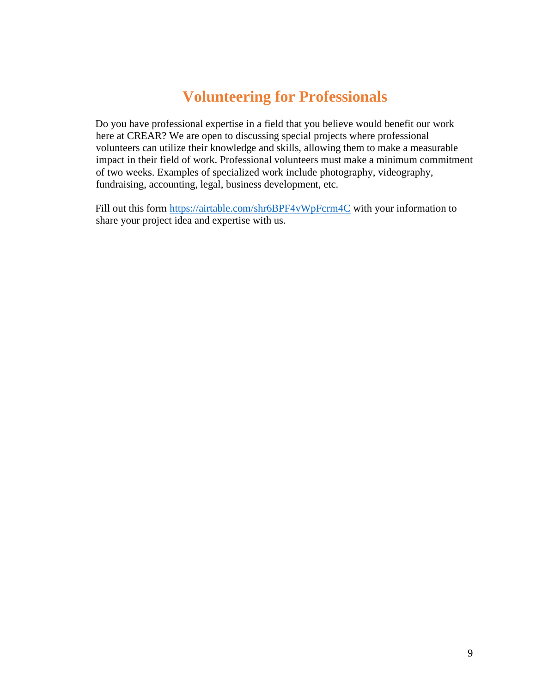## **Volunteering for Professionals**

Do you have professional expertise in a field that you believe would benefit our work here at CREAR? We are open to discussing special projects where professional volunteers can utilize their knowledge and skills, allowing them to make a measurable impact in their field of work. Professional volunteers must make a minimum commitment of two weeks. Examples of specialized work include photography, videography, fundraising, accounting, legal, business development, etc.

Fill out this form<https://airtable.com/shr6BPF4vWpFcrm4C> with your information to share your project idea and expertise with us.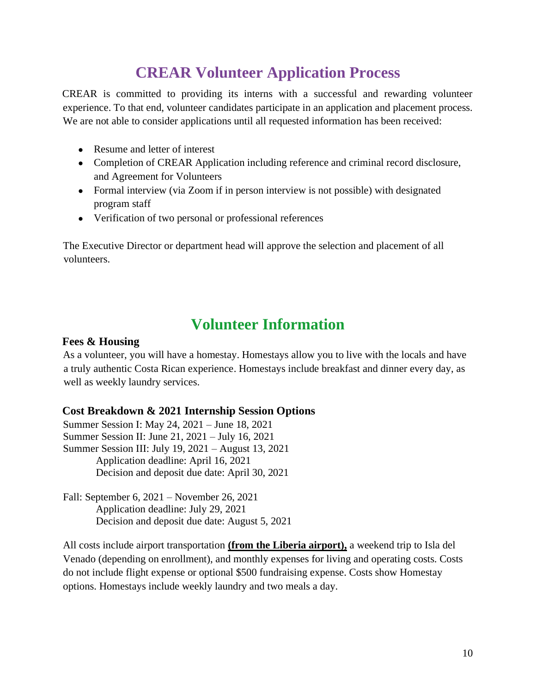## **CREAR Volunteer Application Process**

CREAR is committed to providing its interns with a successful and rewarding volunteer experience. To that end, volunteer candidates participate in an application and placement process. We are not able to consider applications until all requested information has been received:

- Resume and letter of interest
- Completion of CREAR Application including reference and criminal record disclosure, and Agreement for Volunteers
- Formal interview (via Zoom if in person interview is not possible) with designated program staff
- Verification of two personal or professional references

The Executive Director or department head will approve the selection and placement of all volunteers.

### **Volunteer Information**

#### **Fees & Housing**

As a volunteer, you will have a homestay. Homestays allow you to live with the locals and have a truly authentic Costa Rican experience. Homestays include breakfast and dinner every day, as well as weekly laundry services.

#### **Cost Breakdown & 2021 Internship Session Options**

Summer Session I: May 24, 2021 – June 18, 2021 Summer Session II: June 21, 2021 – July 16, 2021 Summer Session III: July 19, 2021 – August 13, 2021 Application deadline: April 16, 2021 Decision and deposit due date: April 30, 2021

Fall: September 6, 2021 – November 26, 2021 Application deadline: July 29, 2021 Decision and deposit due date: August 5, 2021

All costs include airport transportation **(from the Liberia airport),** a weekend trip to Isla del Venado (depending on enrollment), and monthly expenses for living and operating costs. Costs do not include flight expense or optional \$500 fundraising expense. Costs show Homestay options. Homestays include weekly laundry and two meals a day.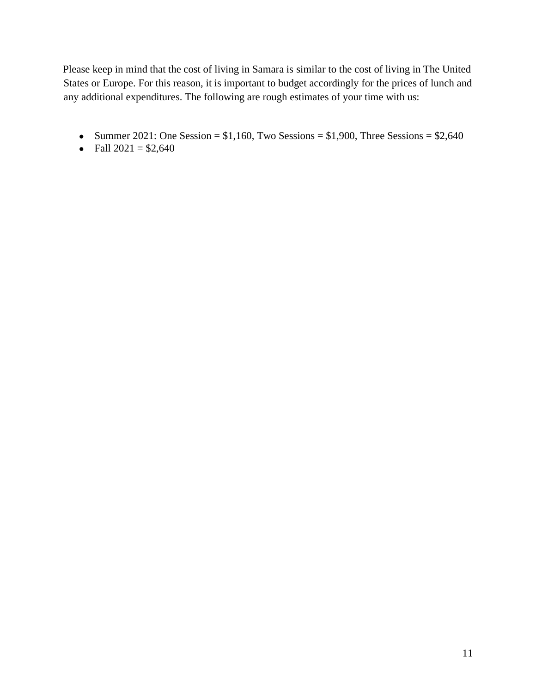Please keep in mind that the cost of living in Samara is similar to the cost of living in The United States or Europe. For this reason, it is important to budget accordingly for the prices of lunch and any additional expenditures. The following are rough estimates of your time with us:

- Summer 2021: One Session =  $$1,160$ , Two Sessions =  $$1,900$ , Three Sessions =  $$2,640$
- Fall  $2021 = $2,640$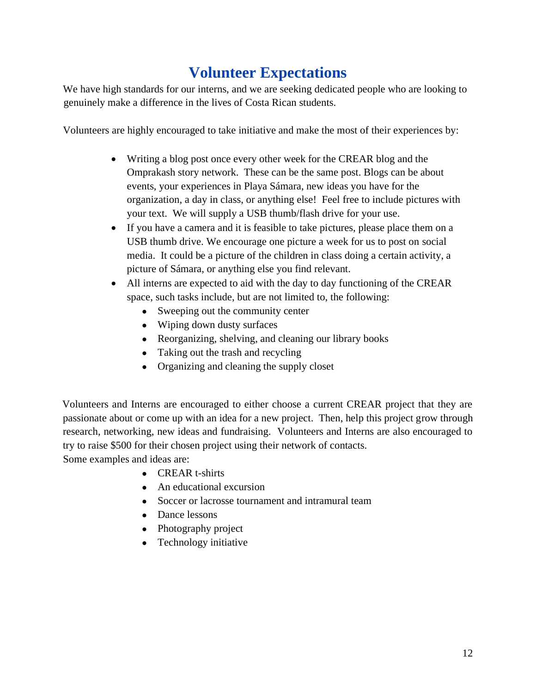# **Volunteer Expectations**

We have high standards for our interns, and we are seeking dedicated people who are looking to genuinely make a difference in the lives of Costa Rican students.

Volunteers are highly encouraged to take initiative and make the most of their experiences by:

- Writing a blog post once every other week for the CREAR blog and the Omprakash story network. These can be the same post. Blogs can be about events, your experiences in Playa Sámara, new ideas you have for the organization, a day in class, or anything else! Feel free to include pictures with your text. We will supply a USB thumb/flash drive for your use.
- If you have a camera and it is feasible to take pictures, please place them on a USB thumb drive. We encourage one picture a week for us to post on social media. It could be a picture of the children in class doing a certain activity, a picture of Sámara, or anything else you find relevant.
- All interns are expected to aid with the day to day functioning of the CREAR space, such tasks include, but are not limited to, the following:
	- Sweeping out the community center
	- Wiping down dusty surfaces
	- Reorganizing, shelving, and cleaning our library books
	- Taking out the trash and recycling
	- Organizing and cleaning the supply closet

Volunteers and Interns are encouraged to either choose a current CREAR project that they are passionate about or come up with an idea for a new project. Then, help this project grow through research, networking, new ideas and fundraising. Volunteers and Interns are also encouraged to try to raise \$500 for their chosen project using their network of contacts.

Some examples and ideas are:

- CREAR t-shirts
- An educational excursion
- Soccer or lacrosse tournament and intramural team
- Dance lessons
- Photography project
- Technology initiative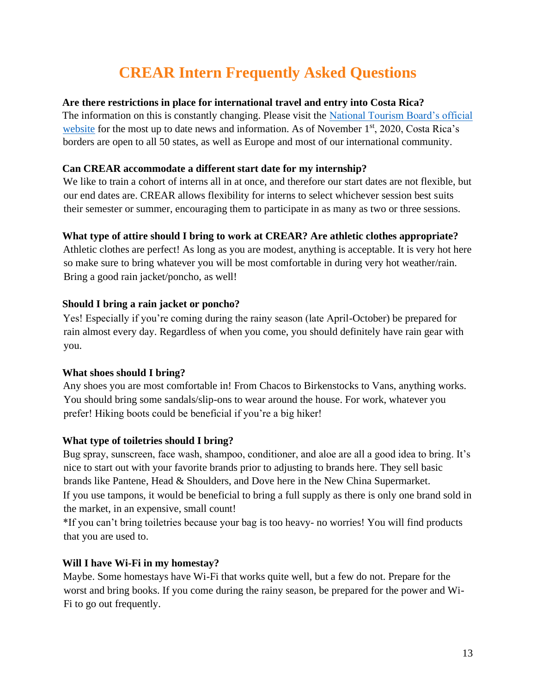# **CREAR Intern Frequently Asked Questions**

#### **Are there restrictions in place for international travel and entry into Costa Rica?**

The information on this is constantly changing. Please visit the [National Tourism Board's official](For%20the%20most%20up%20to%20date%20information%20regarding%20international%20travel%20to%20Costa%20Rica%20and%20requirements,%20please%20visit%20the%20National%20Tourism%20Board´s%20official%20website.)  [website](For%20the%20most%20up%20to%20date%20information%20regarding%20international%20travel%20to%20Costa%20Rica%20and%20requirements,%20please%20visit%20the%20National%20Tourism%20Board´s%20official%20website.) for the most up to date news and information. As of November  $1<sup>st</sup>$ , 2020, Costa Rica's borders are open to all 50 states, as well as Europe and most of our international community.

#### **Can CREAR accommodate a different start date for my internship?**

We like to train a cohort of interns all in at once, and therefore our start dates are not flexible, but our end dates are. CREAR allows flexibility for interns to select whichever session best suits their semester or summer, encouraging them to participate in as many as two or three sessions.

#### **What type of attire should I bring to work at CREAR? Are athletic clothes appropriate?**

Athletic clothes are perfect! As long as you are modest, anything is acceptable. It is very hot here so make sure to bring whatever you will be most comfortable in during very hot weather/rain. Bring a good rain jacket/poncho, as well!

#### **Should I bring a rain jacket or poncho?**

Yes! Especially if you're coming during the rainy season (late April-October) be prepared for rain almost every day. Regardless of when you come, you should definitely have rain gear with you.

#### **What shoes should I bring?**

Any shoes you are most comfortable in! From Chacos to Birkenstocks to Vans, anything works. You should bring some sandals/slip-ons to wear around the house. For work, whatever you prefer! Hiking boots could be beneficial if you're a big hiker!

#### **What type of toiletries should I bring?**

Bug spray, sunscreen, face wash, shampoo, conditioner, and aloe are all a good idea to bring. It's nice to start out with your favorite brands prior to adjusting to brands here. They sell basic brands like Pantene, Head & Shoulders, and Dove here in the New China Supermarket. If you use tampons, it would be beneficial to bring a full supply as there is only one brand sold in the market, in an expensive, small count!

\*If you can't bring toiletries because your bag is too heavy- no worries! You will find products that you are used to.

#### **Will I have Wi-Fi in my homestay?**

Maybe. Some homestays have Wi-Fi that works quite well, but a few do not. Prepare for the worst and bring books. If you come during the rainy season, be prepared for the power and Wi-Fi to go out frequently.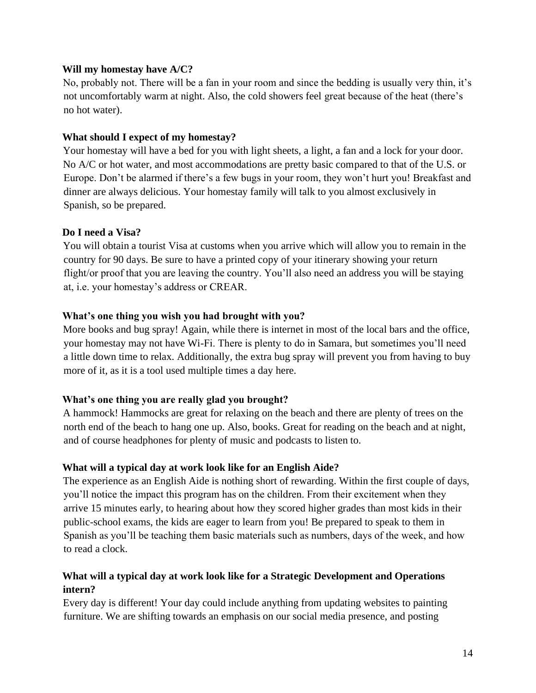#### **Will my homestay have A/C?**

No, probably not. There will be a fan in your room and since the bedding is usually very thin, it's not uncomfortably warm at night. Also, the cold showers feel great because of the heat (there's no hot water).

#### **What should I expect of my homestay?**

Your homestay will have a bed for you with light sheets, a light, a fan and a lock for your door. No A/C or hot water, and most accommodations are pretty basic compared to that of the U.S. or Europe. Don't be alarmed if there's a few bugs in your room, they won't hurt you! Breakfast and dinner are always delicious. Your homestay family will talk to you almost exclusively in Spanish, so be prepared.

#### **Do I need a Visa?**

You will obtain a tourist Visa at customs when you arrive which will allow you to remain in the country for 90 days. Be sure to have a printed copy of your itinerary showing your return flight/or proof that you are leaving the country. You'll also need an address you will be staying at, i.e. your homestay's address or CREAR.

#### **What's one thing you wish you had brought with you?**

More books and bug spray! Again, while there is internet in most of the local bars and the office, your homestay may not have Wi-Fi. There is plenty to do in Samara, but sometimes you'll need a little down time to relax. Additionally, the extra bug spray will prevent you from having to buy more of it, as it is a tool used multiple times a day here.

#### **What's one thing you are really glad you brought?**

A hammock! Hammocks are great for relaxing on the beach and there are plenty of trees on the north end of the beach to hang one up. Also, books. Great for reading on the beach and at night, and of course headphones for plenty of music and podcasts to listen to.

#### **What will a typical day at work look like for an English Aide?**

The experience as an English Aide is nothing short of rewarding. Within the first couple of days, you'll notice the impact this program has on the children. From their excitement when they arrive 15 minutes early, to hearing about how they scored higher grades than most kids in their public-school exams, the kids are eager to learn from you! Be prepared to speak to them in Spanish as you'll be teaching them basic materials such as numbers, days of the week, and how to read a clock.

#### **What will a typical day at work look like for a Strategic Development and Operations intern?**

Every day is different! Your day could include anything from updating websites to painting furniture. We are shifting towards an emphasis on our social media presence, and posting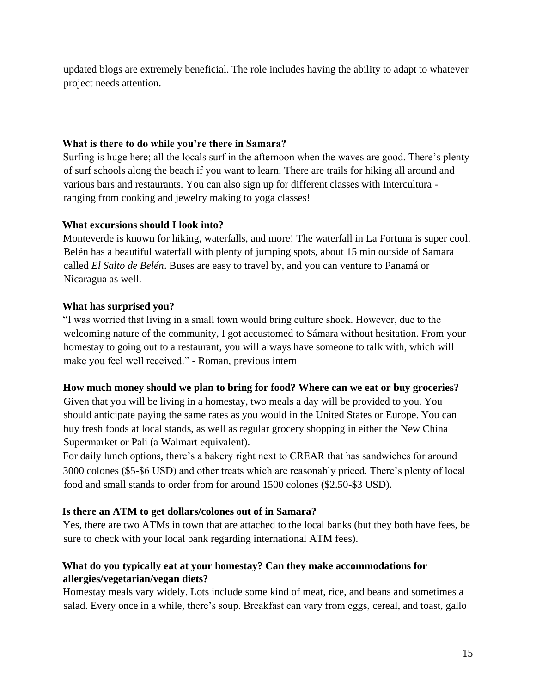updated blogs are extremely beneficial. The role includes having the ability to adapt to whatever project needs attention.

#### **What is there to do while you're there in Samara?**

Surfing is huge here; all the locals surf in the afternoon when the waves are good. There's plenty of surf schools along the beach if you want to learn. There are trails for hiking all around and various bars and restaurants. You can also sign up for different classes with Intercultura ranging from cooking and jewelry making to yoga classes!

#### **What excursions should I look into?**

Monteverde is known for hiking, waterfalls, and more! The waterfall in La Fortuna is super cool. Belén has a beautiful waterfall with plenty of jumping spots, about 15 min outside of Samara called *El Salto de Belén*. Buses are easy to travel by, and you can venture to Panamá or Nicaragua as well.

#### **What has surprised you?**

"I was worried that living in a small town would bring culture shock. However, due to the welcoming nature of the community, I got accustomed to Sámara without hesitation. From your homestay to going out to a restaurant, you will always have someone to talk with, which will make you feel well received." - Roman, previous intern

#### **How much money should we plan to bring for food? Where can we eat or buy groceries?**

Given that you will be living in a homestay, two meals a day will be provided to you. You should anticipate paying the same rates as you would in the United States or Europe. You can buy fresh foods at local stands, as well as regular grocery shopping in either the New China Supermarket or Pali (a Walmart equivalent).

For daily lunch options, there's a bakery right next to CREAR that has sandwiches for around 3000 colones (\$5-\$6 USD) and other treats which are reasonably priced. There's plenty of local food and small stands to order from for around 1500 colones (\$2.50-\$3 USD).

#### **Is there an ATM to get dollars/colones out of in Samara?**

Yes, there are two ATMs in town that are attached to the local banks (but they both have fees, be sure to check with your local bank regarding international ATM fees).

#### **What do you typically eat at your homestay? Can they make accommodations for allergies/vegetarian/vegan diets?**

Homestay meals vary widely. Lots include some kind of meat, rice, and beans and sometimes a salad. Every once in a while, there's soup. Breakfast can vary from eggs, cereal, and toast, gallo